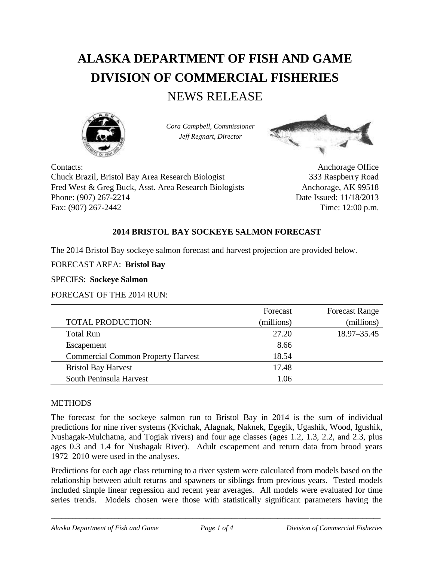# **ALASKA DEPARTMENT OF FISH AND GAME DIVISION OF COMMERCIAL FISHERIES**

# NEWS RELEASE



*Cora Campbell, Commissioner Jeff Regnart, Director*



Contacts: Anchorage Office Chuck Brazil, Bristol Bay Area Research Biologist 333 Raspberry Road Fred West & Greg Buck, Asst. Area Research Biologists Anchorage, AK 99518 Phone: (907) 267-2214 Date Issued: 11/18/2013 Fax: (907) 267-2442 Time: 12:00 p.m.

## **2014 BRISTOL BAY SOCKEYE SALMON FORECAST**

The 2014 Bristol Bay sockeye salmon forecast and harvest projection are provided below.

FORECAST AREA: **Bristol Bay**

SPECIES: **Sockeye Salmon**

FORECAST OF THE 2014 RUN:

|                                           | Forecast   | <b>Forecast Range</b> |
|-------------------------------------------|------------|-----------------------|
| TOTAL PRODUCTION:                         | (millions) | (millions)            |
| <b>Total Run</b>                          | 27.20      | 18.97-35.45           |
| Escapement                                | 8.66       |                       |
| <b>Commercial Common Property Harvest</b> | 18.54      |                       |
| <b>Bristol Bay Harvest</b>                | 17.48      |                       |
| South Peninsula Harvest                   | 1.06       |                       |

#### **METHODS**

The forecast for the sockeye salmon run to Bristol Bay in 2014 is the sum of individual predictions for nine river systems (Kvichak, Alagnak, Naknek, Egegik, Ugashik, Wood, Igushik, Nushagak-Mulchatna, and Togiak rivers) and four age classes (ages 1.2, 1.3, 2.2, and 2.3, plus ages 0.3 and 1.4 for Nushagak River). Adult escapement and return data from brood years 1972–2010 were used in the analyses.

Predictions for each age class returning to a river system were calculated from models based on the relationship between adult returns and spawners or siblings from previous years. Tested models included simple linear regression and recent year averages. All models were evaluated for time series trends. Models chosen were those with statistically significant parameters having the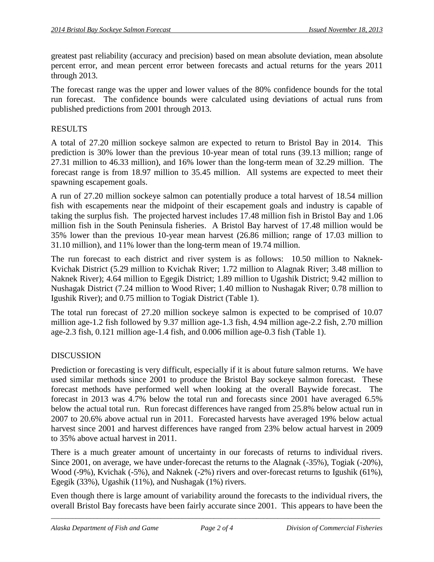greatest past reliability (accuracy and precision) based on mean absolute deviation, mean absolute percent error, and mean percent error between forecasts and actual returns for the years 2011 through 2013.

The forecast range was the upper and lower values of the 80% confidence bounds for the total run forecast. The confidence bounds were calculated using deviations of actual runs from published predictions from 2001 through 2013.

## RESULTS

A total of 27.20 million sockeye salmon are expected to return to Bristol Bay in 2014. This prediction is 30% lower than the previous 10-year mean of total runs (39.13 million; range of 27.31 million to 46.33 million), and 16% lower than the long-term mean of 32.29 million. The forecast range is from 18.97 million to 35.45 million. All systems are expected to meet their spawning escapement goals.

A run of 27.20 million sockeye salmon can potentially produce a total harvest of 18.54 million fish with escapements near the midpoint of their escapement goals and industry is capable of taking the surplus fish. The projected harvest includes 17.48 million fish in Bristol Bay and 1.06 million fish in the South Peninsula fisheries. A Bristol Bay harvest of 17.48 million would be 35% lower than the previous 10-year mean harvest (26.86 million; range of 17.03 million to 31.10 million), and 11% lower than the long-term mean of 19.74 million.

The run forecast to each district and river system is as follows: 10.50 million to Naknek-Kvichak District (5.29 million to Kvichak River; 1.72 million to Alagnak River; 3.48 million to Naknek River); 4.64 million to Egegik District; 1.89 million to Ugashik District; 9.42 million to Nushagak District (7.24 million to Wood River; 1.40 million to Nushagak River; 0.78 million to Igushik River); and 0.75 million to Togiak District (Table 1).

The total run forecast of 27.20 million sockeye salmon is expected to be comprised of 10.07 million age-1.2 fish followed by 9.37 million age-1.3 fish, 4.94 million age-2.2 fish, 2.70 million age-2.3 fish, 0.121 million age-1.4 fish, and 0.006 million age-0.3 fish (Table 1).

# DISCUSSION

Prediction or forecasting is very difficult, especially if it is about future salmon returns. We have used similar methods since 2001 to produce the Bristol Bay sockeye salmon forecast. These forecast methods have performed well when looking at the overall Baywide forecast. The forecast in 2013 was 4.7% below the total run and forecasts since 2001 have averaged 6.5% below the actual total run. Run forecast differences have ranged from 25.8% below actual run in 2007 to 20.6% above actual run in 2011. Forecasted harvests have averaged 19% below actual harvest since 2001 and harvest differences have ranged from 23% below actual harvest in 2009 to 35% above actual harvest in 2011.

There is a much greater amount of uncertainty in our forecasts of returns to individual rivers. Since 2001, on average, we have under-forecast the returns to the Alagnak (-35%), Togiak (-20%), Wood (-9%), Kvichak (-5%), and Naknek (-2%) rivers and over-forecast returns to Igushik (61%), Egegik (33%), Ugashik (11%), and Nushagak (1%) rivers.

Even though there is large amount of variability around the forecasts to the individual rivers, the overall Bristol Bay forecasts have been fairly accurate since 2001. This appears to have been the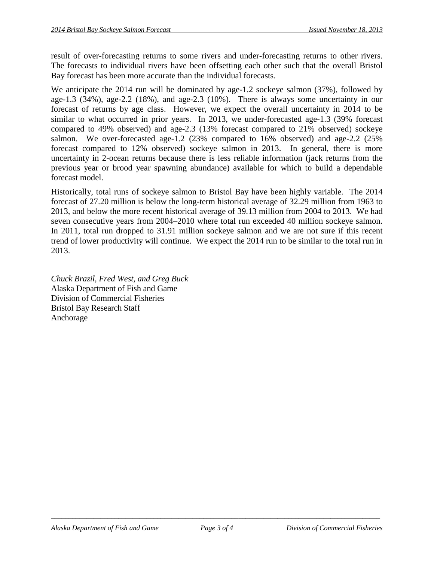result of over-forecasting returns to some rivers and under-forecasting returns to other rivers. The forecasts to individual rivers have been offsetting each other such that the overall Bristol Bay forecast has been more accurate than the individual forecasts.

We anticipate the 2014 run will be dominated by age-1.2 sockeye salmon (37%), followed by age-1.3 (34%), age-2.2 (18%), and age-2.3 (10%). There is always some uncertainty in our forecast of returns by age class. However, we expect the overall uncertainty in 2014 to be similar to what occurred in prior years. In 2013, we under-forecasted age-1.3 (39% forecast compared to 49% observed) and age-2.3 (13% forecast compared to 21% observed) sockeye salmon. We over-forecasted age-1.2 (23% compared to 16% observed) and age-2.2 (25% forecast compared to 12% observed) sockeye salmon in 2013. In general, there is more uncertainty in 2-ocean returns because there is less reliable information (jack returns from the previous year or brood year spawning abundance) available for which to build a dependable forecast model.

Historically, total runs of sockeye salmon to Bristol Bay have been highly variable. The 2014 forecast of 27.20 million is below the long-term historical average of 32.29 million from 1963 to 2013, and below the more recent historical average of 39.13 million from 2004 to 2013. We had seven consecutive years from 2004–2010 where total run exceeded 40 million sockeye salmon. In 2011, total run dropped to 31.91 million sockeye salmon and we are not sure if this recent trend of lower productivity will continue. We expect the 2014 run to be similar to the total run in 2013.

*Chuck Brazil, Fred West, and Greg Buck* Alaska Department of Fish and Game Division of Commercial Fisheries Bristol Bay Research Staff Anchorage